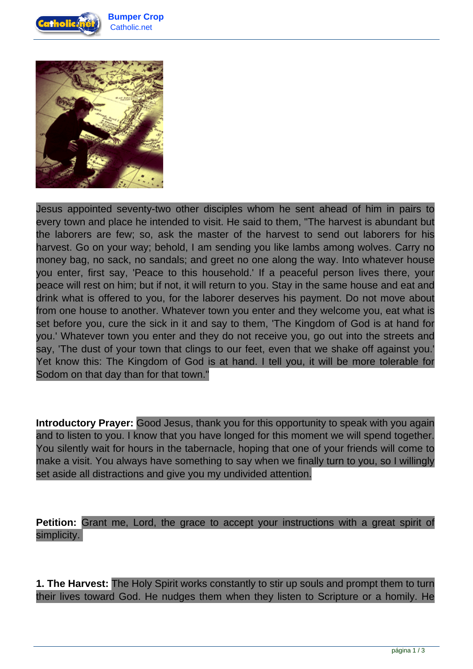



Jesus appointed seventy-two other disciples whom he sent ahead of him in pairs to every town and place he intended to visit. He said to them, "The harvest is abundant but the laborers are few; so, ask the master of the harvest to send out laborers for his harvest. Go on your way; behold, I am sending you like lambs among wolves. Carry no money bag, no sack, no sandals; and greet no one along the way. Into whatever house you enter, first say, 'Peace to this household.' If a peaceful person lives there, your peace will rest on him; but if not, it will return to you. Stay in the same house and eat and drink what is offered to you, for the laborer deserves his payment. Do not move about from one house to another. Whatever town you enter and they welcome you, eat what is set before you, cure the sick in it and say to them, 'The Kingdom of God is at hand for you.' Whatever town you enter and they do not receive you, go out into the streets and say, 'The dust of your town that clings to our feet, even that we shake off against you.' Yet know this: The Kingdom of God is at hand. I tell you, it will be more tolerable for Sodom on that day than for that town."

**Introductory Prayer:** Good Jesus, thank you for this opportunity to speak with you again and to listen to you. I know that you have longed for this moment we will spend together. You silently wait for hours in the tabernacle, hoping that one of your friends will come to make a visit. You always have something to say when we finally turn to you, so I willingly set aside all distractions and give you my undivided attention.

**Petition:** Grant me, Lord, the grace to accept your instructions with a great spirit of simplicity.

**1. The Harvest:** The Holy Spirit works constantly to stir up souls and prompt them to turn their lives toward God. He nudges them when they listen to Scripture or a homily. He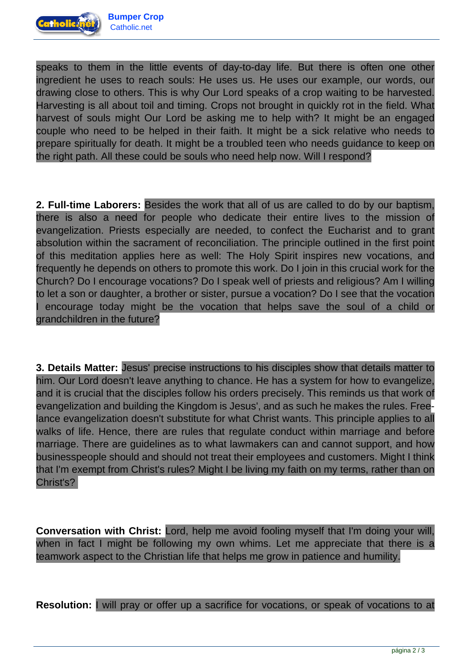

speaks to them in the little events of day-to-day life. But there is often one other ingredient he uses to reach souls: He uses us. He uses our example, our words, our drawing close to others. This is why Our Lord speaks of a crop waiting to be harvested. Harvesting is all about toil and timing. Crops not brought in quickly rot in the field. What harvest of souls might Our Lord be asking me to help with? It might be an engaged couple who need to be helped in their faith. It might be a sick relative who needs to prepare spiritually for death. It might be a troubled teen who needs guidance to keep on the right path. All these could be souls who need help now. Will I respond?

**2. Full-time Laborers:** Besides the work that all of us are called to do by our baptism, there is also a need for people who dedicate their entire lives to the mission of evangelization. Priests especially are needed, to confect the Eucharist and to grant absolution within the sacrament of reconciliation. The principle outlined in the first point of this meditation applies here as well: The Holy Spirit inspires new vocations, and frequently he depends on others to promote this work. Do I join in this crucial work for the Church? Do I encourage vocations? Do I speak well of priests and religious? Am I willing to let a son or daughter, a brother or sister, pursue a vocation? Do I see that the vocation I encourage today might be the vocation that helps save the soul of a child or grandchildren in the future?

**3. Details Matter:** Jesus' precise instructions to his disciples show that details matter to him. Our Lord doesn't leave anything to chance. He has a system for how to evangelize, and it is crucial that the disciples follow his orders precisely. This reminds us that work of evangelization and building the Kingdom is Jesus', and as such he makes the rules. Freelance evangelization doesn't substitute for what Christ wants. This principle applies to all walks of life. Hence, there are rules that regulate conduct within marriage and before marriage. There are guidelines as to what lawmakers can and cannot support, and how businesspeople should and should not treat their employees and customers. Might I think that I'm exempt from Christ's rules? Might I be living my faith on my terms, rather than on Christ's?

**Conversation with Christ:** Lord, help me avoid fooling myself that I'm doing your will, when in fact I might be following my own whims. Let me appreciate that there is a teamwork aspect to the Christian life that helps me grow in patience and humility.

**Resolution:** I will pray or offer up a sacrifice for vocations, or speak of vocations to at